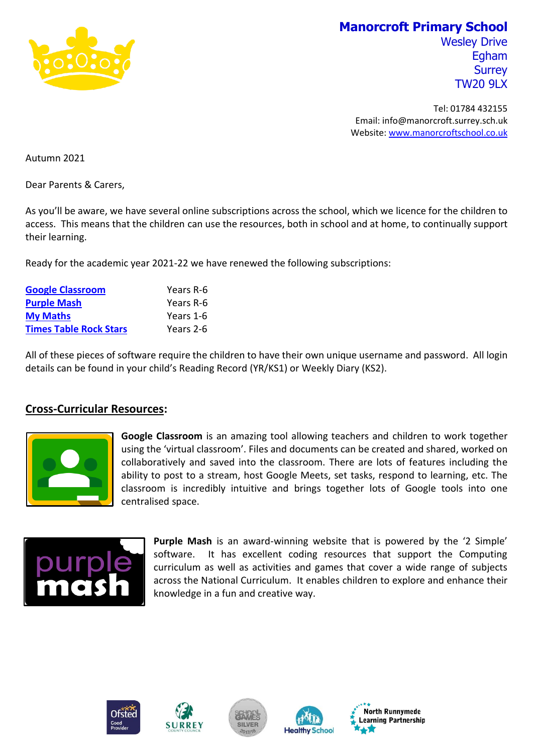

## **Manorcroft Primary School**

Wesley Drive Egham **Surrey** TW20 9LX

Tel: 01784 432155 Email: info@manorcroft.surrey.sch.uk Website: [www.manorcroftschool.co.uk](http://www.manorcroftschool.co.uk/)

Autumn 2021

Dear Parents & Carers,

As you'll be aware, we have several online subscriptions across the school, which we licence for the children to access. This means that the children can use the resources, both in school and at home, to continually support their learning.

Ready for the academic year 2021-22 we have renewed the following subscriptions:

| <b>Google Classroom</b>       | Years R-6 |
|-------------------------------|-----------|
| <b>Purple Mash</b>            | Years R-6 |
| <b>My Maths</b>               | Years 1-6 |
| <b>Times Table Rock Stars</b> | Years 2-6 |

All of these pieces of software require the children to have their own unique username and password. All login details can be found in your child's Reading Record (YR/KS1) or Weekly Diary (KS2).

## **Cross-Curricular Resources:**



**Google Classroom** is an amazing tool allowing teachers and children to work together using the 'virtual classroom'. Files and documents can be created and shared, worked on collaboratively and saved into the classroom. There are lots of features including the ability to post to a stream, host Google Meets, set tasks, respond to learning, etc. The classroom is incredibly intuitive and brings together lots of Google tools into one centralised space.



**Purple Mash** is an award-winning website that is powered by the '2 Simple' software. It has excellent coding resources that support the Computing curriculum as well as activities and games that cover a wide range of subjects across the National Curriculum. It enables children to explore and enhance their knowledge in a fun and creative way.